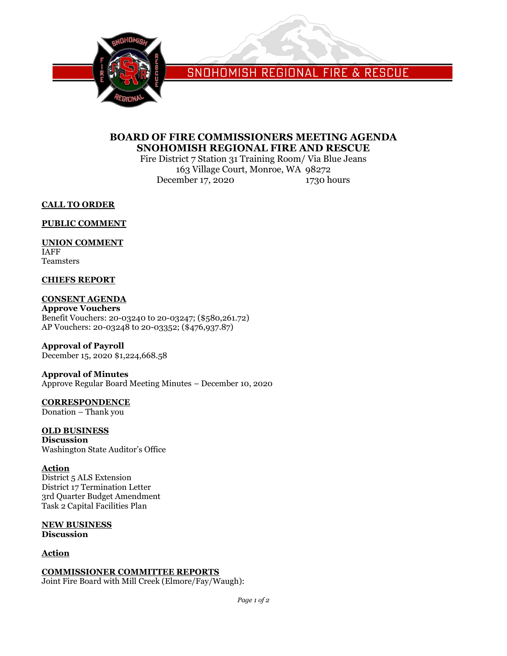

SNOHOMISH REGIONAL FIRE & RESCUE

### **BOARD OF FIRE COMMISSIONERS MEETING AGENDA SNOHOMISH REGIONAL FIRE AND RESCUE**

Fire District 7 Station 31 Training Room/ Via Blue Jeans 163 Village Court, Monroe, WA 98272 December 17, 2020 1730 hours

**CALL TO ORDER**

**PUBLIC COMMENT**

### **UNION COMMENT**

IAFF Teamsters

### **CHIEFS REPORT**

### **CONSENT AGENDA**

**Approve Vouchers** Benefit Vouchers: 20-03240 to 20-03247; (\$580,261.72) AP Vouchers: 20-03248 to 20-03352; (\$476,937.87)

### **Approval of Payroll**

December 15, 2020 \$1,224,668.58

### **Approval of Minutes**

Approve Regular Board Meeting Minutes – December 10, 2020

## **CORRESPONDENCE**

Donation – Thank you

### **OLD BUSINESS**

**Discussion** Washington State Auditor's Office

### **Action**

District 5 ALS Extension District 17 Termination Letter 3rd Quarter Budget Amendment Task 2 Capital Facilities Plan

#### **NEW BUSINESS Discussion**

### **Action**

### **COMMISSIONER COMMITTEE REPORTS**

Joint Fire Board with Mill Creek (Elmore/Fay/Waugh):